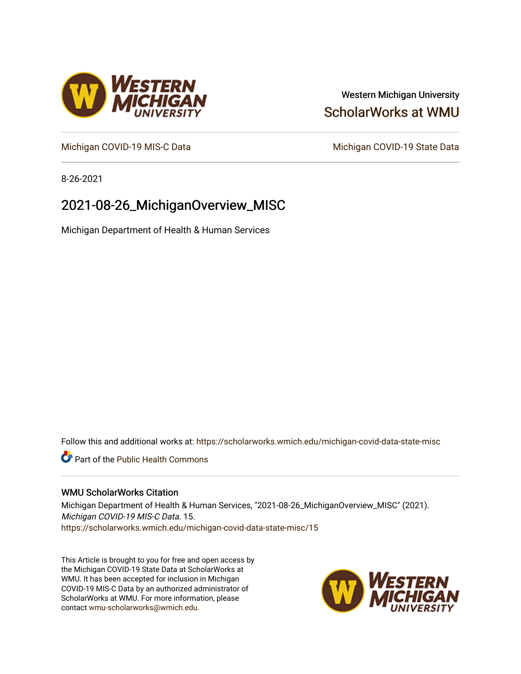# Western Michigan University [ScholarWorks at WMU](https://scholarworks.wmich.edu/)

[Michigan COVID-19 MIS-C Data](https://scholarworks.wmich.edu/michigan-covid-data-state-misc) Michigan COVID-19 State Data

8-26-2021

# 2021-08-26\_MichiganOverview\_MISC

Michigan Department of Health & Human Services

Follow this and additional works at: [https://scholarworks.wmich.edu/michigan-covid-data-state-misc](https://scholarworks.wmich.edu/michigan-covid-data-state-misc?utm_source=scholarworks.wmich.edu%2Fmichigan-covid-data-state-misc%2F15&utm_medium=PDF&utm_campaign=PDFCoverPages) 

**Part of the Public Health Commons** 

## WMU ScholarWorks Citation

Michigan Department of Health & Human Services, "2021-08-26\_MichiganOverview\_MISC" (2021). Michigan COVID-19 MIS-C Data. 15. [https://scholarworks.wmich.edu/michigan-covid-data-state-misc/15](https://scholarworks.wmich.edu/michigan-covid-data-state-misc/15?utm_source=scholarworks.wmich.edu%2Fmichigan-covid-data-state-misc%2F15&utm_medium=PDF&utm_campaign=PDFCoverPages)

This Article is brought to you for free and open access by the Michigan COVID-19 State Data at ScholarWorks at WMU. It has been accepted for inclusion in Michigan COVID-19 MIS-C Data by an authorized administrator of ScholarWorks at WMU. For more information, please contact [wmu-scholarworks@wmich.edu](mailto:wmu-scholarworks@wmich.edu).



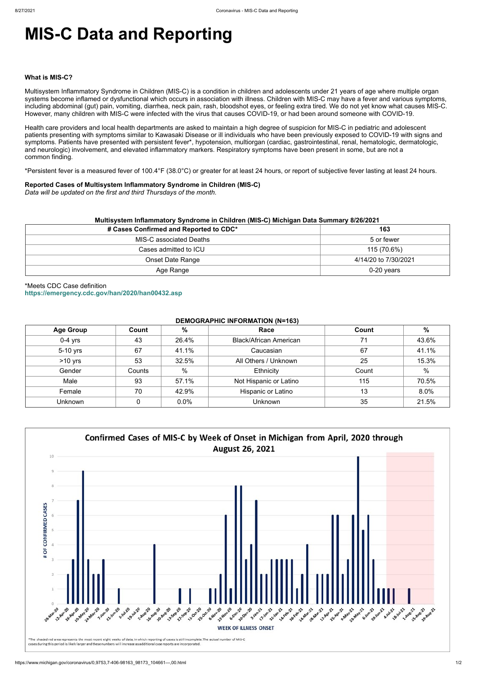# **MIS-C Data and Reporting**

#### **What is MIS-C?**

Multisystem Inflammatory Syndrome in Children (MIS-C) is a condition in children and adolescents under 21 years of age where multiple organ systems become inflamed or dysfunctional which occurs in association with illness. Children with MIS-C may have a fever and various symptoms, including abdominal (gut) pain, vomiting, diarrhea, neck pain, rash, bloodshot eyes, or feeling extra tired. We do not yet know what causes MIS-C. However, many children with MIS-C were infected with the virus that causes COVID-19, or had been around someone with COVID-19.

Health care providers and local health departments are asked to maintain a high degree of suspicion for MIS-C in pediatric and adolescent patients presenting with symptoms similar to Kawasaki Disease or ill individuals who have been previously exposed to COVID-19 with signs and symptoms. Patients have presented with persistent fever\*, hypotension, multiorgan (cardiac, gastrointestinal, renal, hematologic, dermatologic, and neurologic) involvement, and elevated inflammatory markers. Respiratory symptoms have been present in some, but are not a common finding.

\*Persistent fever is a measured fever of 100.4°F (38.0°C) or greater for at least 24 hours, or report of subjective fever lasting at least 24 hours.

## **Reported Cases of Multisystem Inflammatory Syndrome in Children (MIS-C)**

*Data will be updated on the first and third Thursdays of the month.*

| Multisystem Inflammatory Syndrome in Children (MIS-C) Michigan Data Summary 8/26/2021 |                      |  |  |  |
|---------------------------------------------------------------------------------------|----------------------|--|--|--|
| # Cases Confirmed and Reported to CDC*                                                | 163                  |  |  |  |
| MIS-C associated Deaths                                                               | 5 or fewer           |  |  |  |
| Cases admitted to ICU                                                                 | 115 (70.6%)          |  |  |  |
| <b>Onset Date Range</b>                                                               | 4/14/20 to 7/30/2021 |  |  |  |
| Age Range                                                                             | $0-20$ years         |  |  |  |

\*Meets CDC Case definition **<https://emergency.cdc.gov/han/2020/han00432.asp>**

## **DEMOGRAPHIC INFORMATION (N=163)**

| <b>Age Group</b> | Count  | %     | Race                          | Count | %             |
|------------------|--------|-------|-------------------------------|-------|---------------|
| $0-4$ yrs        | 43     | 26.4% | <b>Black/African American</b> | 71    | 43.6%         |
| 5-10 yrs         | 67     | 41.1% | Caucasian                     | 67    | 41.1%         |
| $>10$ yrs        | 53     | 32.5% | All Others / Unknown          | 25    | 15.3%         |
| Gender           | Counts | $\%$  | Ethnicity                     | Count | $\frac{0}{0}$ |
| Male             | 93     | 57.1% | Not Hispanic or Latino        | 115   | 70.5%         |
| Female           | 70     | 42.9% | Hispanic or Latino            | 13    | 8.0%          |
| <b>Unknown</b>   |        | 0.0%  | <b>Unknown</b>                | 35    | 21.5%         |